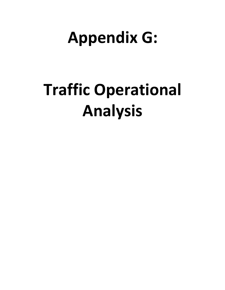## **Appendix G:**

# **Traffic Operational Analysis**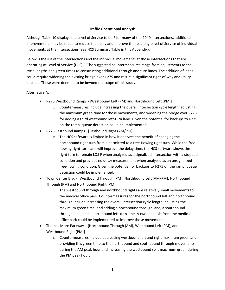### **Traffic Operational Analysis**

Although Table 10 displays the Level of Service to be F for many of the 2040 intersections, additional improvements may be made to reduce the delay and improve the resulting Level of Service of individual movements at the intersections (see HCS Summary Table in this Appendix).

Below is the list of the intersections and the individual movements at those intersections that are operating at Level of Service (LOS) F. The suggested countermeasures range from adjustments to the cycle lengths and green times to constructing additional through and turn lanes. The addition of lanes could require widening the existing bridge over I-275 and result in significant right-of-way and utility impacts. These were deemed to be beyond the scope of this study.

#### Alternative A:

- I-275 Westbound Ramps [Westbound Left (PM) and Northbound Left (PM)]
	- Countermeasures include increasing the overall intersection cycle length, adjusting the maximum green time for those movements, and widening the bridge over I-275 for adding a third westbound left-turn lane. Given the potential for backups to I-275 on the ramp, queue detection could be implemented.
- I-275 Eastbound Ramps [Eastbound Right (AM/PM)]
	- o The HCS software is limited in how it analyzes the benefit of changing the northbound right turn from a permitted to a free-flowing right turn. While the freeflowing right-turn lane will improve the delay time, the HCS software shows the right turn to remain LOS F when analyzed as a signalized intersection with a stopped condition and provides no delay measurement when analyzed as an unsignalized free-flowing condition. Given the potential for backups to I-275 on the ramp, queue detection could be implemented.
- Town Center Blvd [Westbound Through (PM), Northbound Left (AM/PM), Northbound Through (PM) and Northbound Right (PM)]
	- $\circ$  The westbound through and northbound rights are relatively small movements to the medical office park. Countermeasures for the northbound left and northbound through include increasing the overall intersection cycle length, adjusting the maximum green time, and adding a northbound through lane, a southbound through lane, and a northbound left-turn lane. A two-lane exit from the medical office park could be implemented to improve those movements.
- Thomas More Parkway [Northbound Through (AM), Westbound Left (PM), and Westbound Right (PM)]
	- o Countermeasures include decreasing westbound left and right maximum green and providing this green time to the northbound and southbound through movements during the AM peak hour and increasing the westbound split maximum green during the PM peak hour.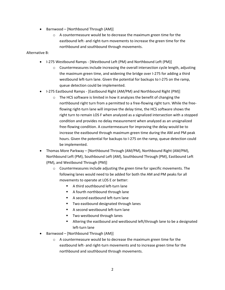- Barnwood [Northbound Through (AM)]
	- $\circ$  A countermeasure would be to decrease the maximum green time for the eastbound left- and right-turn movements to increase the green time for the northbound and southbound through movements.

### Alternative B:

- I-275 Westbound Ramps [Westbound Left (PM) and Northbound Left (PM)]
	- $\circ$  Countermeasures include increasing the overall intersection cycle length, adjusting the maximum green time, and widening the bridge over I-275 for adding a third westbound left-turn lane. Given the potential for backups to I-275 on the ramp, queue detection could be implemented.
- I-275 Eastbound Ramps [Eastbound Right (AM/PM) and Northbound Right (PM)]
	- o The HCS software is limited in how it analyzes the benefit of changing the northbound right turn from a permitted to a free-flowing right turn. While the freeflowing right-turn lane will improve the delay time, the HCS software shows the right turn to remain LOS F when analyzed as a signalized intersection with a stopped condition and provides no delay measurement when analyzed as an unsignalized free-flowing condition. A countermeasure for improving the delay would be to increase the eastbound through maximum green time during the AM and PM peak hours. Given the potential for backups to I-275 on the ramp, queue detection could be implemented.
- Thomas More Parkway [Northbound Through (AM/PM), Northbound Right (AM/PM), Northbound Left (PM), Southbound Left (AM), Southbound Through (PM), Eastbound Left (PM), and Westbound Through (PM)]
	- o Countermeasures include adjusting the green time for specific movements. The following lanes would need to be added for both the AM and PM peaks for all movements to operate at LOS E or better:
		- A third southbound left-turn lane
		- **A** fourth northbound through lane
		- A second eastbound left-turn lane
		- **Two eastbound designated through lanes**
		- A second westbound left-turn lane
		- Two westbound through lanes
		- Altering the eastbound and westbound left/through lane to be a designated left-turn lane
- Barnwood [Northbound Through (AM)]
	- o A countermeasure would be to decrease the maximum green time for the eastbound left- and right-turn movements and to increase green time for the northbound and southbound through movements.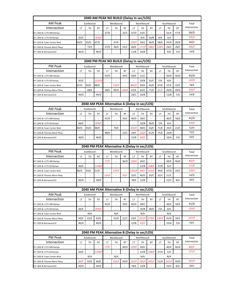| 2040 AM PEAK NO BUILD (Delay in sec/LOS)            |                                               |                          |                                               |                          |                                               |                          |                          |               |           |                          |               |                              |               |
|-----------------------------------------------------|-----------------------------------------------|--------------------------|-----------------------------------------------|--------------------------|-----------------------------------------------|--------------------------|--------------------------|---------------|-----------|--------------------------|---------------|------------------------------|---------------|
| <b>AM Peak</b>                                      | Eastbound                                     |                          |                                               | Westbound                |                                               |                          | Northbound               |               |           | Southbound               |               |                              | Total         |
| Intersection                                        | LT                                            | <b>TH</b>                | <b>RT</b>                                     | LT                       | <b>TH</b>                                     | <b>RT</b>                | LT                       | <b>TH</b>     | <b>RT</b> | LT                       | <b>TH</b>     | <b>RT</b>                    | Intersection  |
| KY 1303 & I-275 WB Ramps                            |                                               |                          |                                               | 37/D                     |                                               | 32/C                     | 37/D                     | 23/C          |           |                          | 61/E          | 57/E                         | 36/D          |
| KY 1303 & I-275 EB Ramps                            | 65/E                                          | $\overline{\phantom{a}}$ | 914/F                                         | $\overline{\phantom{a}}$ | $\overline{\phantom{a}}$                      | $\overline{\phantom{a}}$ | $\overline{\phantom{a}}$ | 9/A           | 16/B      | 4/A                      | 3/A           | $\qquad \qquad \blacksquare$ | 105/F         |
| KY 1303 & Town Center Blvd                          | 43/D                                          | 43/D                     | 47/D                                          | $\overline{\phantom{a}}$ | 67/E                                          | $\overline{\phantom{a}}$ | 239/F                    | 34/C          | 36/D      | 68/E                     | 35/D          | 20/B                         | 40/D          |
| KY 1303 & Thomas More Pkwy                          |                                               | 72/E                     | L,                                            | 47/D                     | 46/E                                          | 23/C                     | 66/E                     | 177/F         | 188/F     | 329/F                    | 26/C          | 26/C                         | 166/F         |
| KY 1303 & Barnwood Dr                               | 46/D                                          |                          | 46/D                                          |                          |                                               |                          | 11/B                     | 16/B          |           |                          | 9/A           | 7/A                          | 14/B          |
|                                                     |                                               |                          |                                               |                          |                                               |                          |                          |               |           |                          |               |                              |               |
|                                                     | 2040 PM PEAK NO BUILD (Delay in sec/LOS)      |                          |                                               |                          |                                               |                          |                          |               |           |                          |               |                              |               |
| <b>PM Peak</b>                                      |                                               | Eastbound                |                                               |                          | Westbound                                     |                          |                          | Northbound    |           |                          | Southbound    |                              | Total         |
| Intersection                                        | LT                                            | <b>TH</b>                | <b>RT</b>                                     | LT                       | <b>TH</b>                                     | <b>RT</b>                | LT                       | <b>TH</b>     | <b>RT</b> | LT                       | <b>TH</b>     | <b>RT</b>                    | Intersection  |
| KY 1303 & I-275 WB Ramps                            |                                               |                          |                                               | 45/D                     |                                               | 34/C                     | 60/E                     | 21/C          |           |                          | 50/D          | 46/D                         | 45/D          |
| KY 1303 & I-275 EB Ramps                            | 65/E                                          | $\overline{\phantom{a}}$ | 1252/F                                        |                          |                                               |                          |                          | 10/B          | 25/C      | 7/A                      | 4/A           |                              | 142/F         |
| KY 1303 & Town Center Blvd                          | 47/D                                          | 43/D                     | 48/D                                          |                          | 159/F                                         |                          | 842/F                    | 39/D          | 43/D      | 67/E                     | 57/E          | 22/C                         | 78/E          |
| KY 1303 & Thomas More Pkwy                          |                                               | 68/E                     |                                               | 68/E                     | 46/D                                          | 248/F                    | 67/E                     | 62/E          | 71/E      | 81/F                     | 39/D          | 39/D                         | 103/F         |
| KY 1303 & Barnwood Dr                               | 49/D                                          |                          | 49/D                                          |                          |                                               |                          | 28/C                     | 10/B          |           | $\overline{\phantom{a}}$ | 13/B          | 7/A                          | 14/B          |
|                                                     |                                               |                          |                                               |                          |                                               |                          |                          |               |           |                          |               |                              |               |
|                                                     | 2040 AM PEAK Alternative A (Delay in sec/LOS) |                          |                                               |                          |                                               |                          |                          |               |           |                          |               |                              |               |
| <b>AM Peak</b>                                      |                                               | Eastbound                |                                               |                          | Westbound                                     |                          |                          | Northbound    |           |                          | Southbound    |                              | Total         |
| Intersection                                        | LT                                            | TH                       | <b>RT</b>                                     | LT                       | TH                                            | <b>RT</b>                | LT                       | TH            | <b>RT</b> | LT                       | <b>TH</b>     | <b>RT</b>                    | Intersection  |
| KY 1303 & I-275 WB Ramps                            |                                               |                          |                                               | 42/D                     |                                               | 33/C                     | 40/D                     | 28/C          |           |                          | 66/E          | 58/E                         | 41/D          |
| KY 1303 & I-275 EB Ramps                            | 66/E                                          |                          | 876/F                                         | $\overline{\phantom{a}}$ |                                               |                          |                          | 10/B          | 38/D      | 7/A                      | 4/A           |                              | 129/F         |
| KY 1303 & Town Center Blvd                          | 44/D                                          | 43/D                     | 48/D                                          | $\overline{\phantom{a}}$ | 70/E                                          | $\overline{\phantom{m}}$ | 435/F                    | 48/D          | 56/E      | 71/E                     | 33/C          | 21/C                         | 52/D          |
| KY 1303 & Thomas More Pkwy                          |                                               | ÷,                       |                                               | 48/D                     |                                               | 22/C                     | 24/C                     | 120/F         | 41/D      | 75/E                     | 16/B          |                              | 75/E          |
| KY 1303 & Barnwood Dr                               | 46/D                                          |                          | 46/D                                          |                          |                                               |                          | 15/B                     | 43/F          |           |                          | 10/A          | 7/A                          | 33/C          |
|                                                     |                                               |                          |                                               |                          |                                               |                          |                          |               |           |                          |               |                              |               |
|                                                     |                                               |                          |                                               |                          | 2040 PM PEAK Alternative A (Delay in sec/LOS) |                          |                          |               |           |                          |               |                              |               |
| <b>PM Peak</b>                                      |                                               | Eastbound                |                                               |                          | Westbound                                     |                          |                          | Northbound    |           |                          | Southbound    |                              | Total         |
| Intersection                                        | LT                                            | TH                       | <b>RT</b>                                     | LT                       | <b>TH</b>                                     | <b>RT</b>                | LT                       | <b>TH</b>     | <b>RT</b> | LT                       | <b>TH</b>     | <b>RT</b>                    | Intersection  |
| KY 1303 & I-275 WB Ramps                            | $\overline{a}$                                | ÷,                       | ÷,                                            | 77/F                     |                                               | 36/D                     | 139/F                    | 26/C          |           | $\overline{\phantom{a}}$ | 60/E          | 46/D                         | 82/F          |
| KY 1303 & I-275 EB Ramps                            | 66/E                                          |                          |                                               |                          |                                               |                          |                          |               |           |                          |               |                              |               |
|                                                     |                                               | $\overline{\phantom{a}}$ | 1146/F                                        |                          |                                               |                          |                          | 13/B          | 108/F     | 37/D                     | 5/A           |                              | 172/F         |
| KY 1303 & Town Center Blvd                          | 48/D                                          | 43/D                     | 51/D                                          | $\sim$                   | 376/F                                         |                          | 1245/F                   | 94/F          | 103/F     | 69/E                     | 47/D          | 24/C                         | 120/F         |
| KY 1303 & Thomas More Pkwy                          |                                               |                          |                                               | 134/F                    |                                               | 93/F                     | 25/C                     | 46/D          | 33/C      | 32/C                     | 21/C          |                              | 54/D          |
| KY 1303 & Barnwood Dr                               | 50/D                                          |                          | 50/D                                          |                          |                                               |                          | 78/E                     | 13/B          |           | $\overline{\phantom{a}}$ | 22/C          | 8/A                          | 20/C          |
|                                                     |                                               |                          |                                               |                          |                                               |                          |                          |               |           |                          |               |                              |               |
|                                                     |                                               |                          | 2040 AM PEAK Alternative B (Delay in sec/LOS) |                          |                                               |                          |                          |               |           |                          |               |                              |               |
| AM Peak                                             |                                               | Eastbound                |                                               |                          | Westbound                                     |                          |                          | Northbound    |           |                          | Southbound    |                              | Total         |
| Intersection                                        | LT                                            | TH                       | <b>RT</b>                                     | LT                       | TH                                            | <b>RT</b>                | LT                       | TH            | RT        | LT                       | TH            | <b>RT</b>                    | Intersection  |
| KY 1303 & I-275 WB Ramps                            |                                               |                          |                                               | 42/D                     |                                               | 33/C                     | 40/D                     | 28/C          |           |                          | 66/E          | 58/E                         | 41/D          |
| KY 1303 & I-275 EB Ramps                            | 66/E                                          |                          | 876/F                                         |                          |                                               |                          |                          | 10/B          | 38/D      | 7/A                      | 4/A           |                              | 129/F         |
| KY 1303 & Town Center Blvd                          |                                               | N/A                      |                                               |                          | N/A                                           |                          |                          | N/A           |           |                          | N/A           |                              |               |
| KY 1303 & Thomas More Pkwy                          | 60/E                                          | 61/E                     | 62/E                                          |                          | 52/D                                          | 21/C                     | 63/E                     | 637/F         | 679/F     | 140/F                    | 41/D          | 34/C                         | 337/F         |
| KY 1303 & Barnwood Dr                               | 46/D                                          |                          | 46/D                                          |                          |                                               |                          | 15/B                     | 43/F          |           |                          | 10/A          | 7/A                          | 33/C          |
|                                                     |                                               |                          |                                               |                          |                                               |                          |                          |               |           |                          |               |                              |               |
|                                                     |                                               |                          | 2040 PM PEAK Alternative B (Delay in sec/LOS) |                          |                                               |                          |                          |               |           |                          |               |                              |               |
| <b>PM Peak</b>                                      |                                               | Eastbound                |                                               |                          | Westbound                                     |                          |                          | Northbound    |           |                          | Southbound    |                              | Total         |
| Intersection                                        | LT                                            | TH                       | <b>RT</b>                                     | LT                       | TН                                            | <b>RT</b>                | LT                       | TН            | <b>RT</b> | LT                       | <b>TH</b>     | RT                           | Intersection  |
| KY 1303 & I-275 WB Ramps                            |                                               |                          |                                               | 77/F                     |                                               | 36/D                     | 139/F                    | 26/C          |           |                          | 60/E          | 46/D                         | 82/F          |
| KY 1303 & I-275 EB Ramps                            | 66/E                                          |                          | 1146/F                                        |                          |                                               |                          |                          | 13/B          | 108/F     | 37/D                     | 5/A           |                              | 172/F         |
| KY 1303 & Town Center Blvd                          |                                               | N/A                      |                                               |                          | N/A                                           |                          |                          | N/A           |           |                          | N/A           |                              |               |
| KY 1303 & Thomas More Pkwy<br>KY 1303 & Barnwood Dr | 84/F<br>50/D                                  | 63/E                     | 66/E<br>50/D                                  |                          | 552/F                                         | 35/D                     | 131/F<br>78/E            | 335/F<br>13/B | 343/F     | 51/D                     | 101/F<br>22/C | 39/D<br>8/A                  | 193/F<br>20/C |